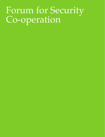## Forum for Security Co-operation